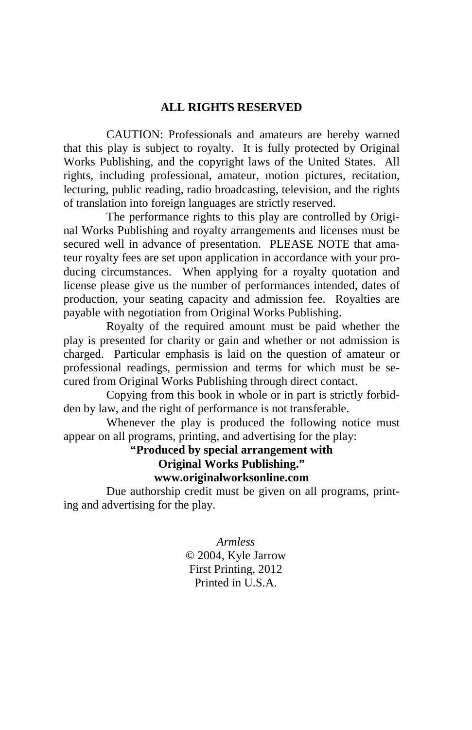#### **ALL RIGHTS RESERVED**

 CAUTION: Professionals and amateurs are hereby warned that this play is subject to royalty. It is fully protected by Original Works Publishing, and the copyright laws of the United States. All rights, including professional, amateur, motion pictures, recitation, lecturing, public reading, radio broadcasting, television, and the rights of translation into foreign languages are strictly reserved.

 The performance rights to this play are controlled by Original Works Publishing and royalty arrangements and licenses must be secured well in advance of presentation. PLEASE NOTE that amateur royalty fees are set upon application in accordance with your producing circumstances. When applying for a royalty quotation and license please give us the number of performances intended, dates of production, your seating capacity and admission fee. Royalties are payable with negotiation from Original Works Publishing.

 Royalty of the required amount must be paid whether the play is presented for charity or gain and whether or not admission is charged. Particular emphasis is laid on the question of amateur or professional readings, permission and terms for which must be secured from Original Works Publishing through direct contact.

 Copying from this book in whole or in part is strictly forbidden by law, and the right of performance is not transferable.

 Whenever the play is produced the following notice must appear on all programs, printing, and advertising for the play:

# **"Produced by special arrangement with Original Works Publishing." www.originalworksonline.com**

 Due authorship credit must be given on all programs, printing and advertising for the play.

> *Armless*  © 2004, Kyle Jarrow First Printing, 2012 Printed in U.S.A.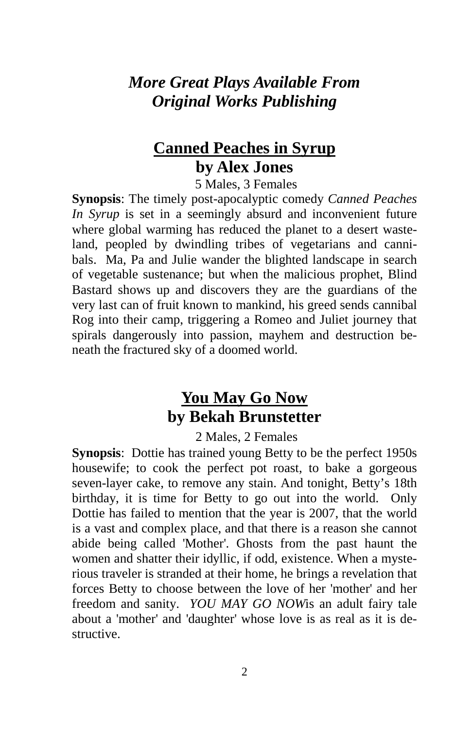# *More Great Plays Available From Original Works Publishing*

# **Canned Peaches in Syrup by Alex Jones**

5 Males, 3 Females

**Synopsis**: The timely post-apocalyptic comedy *Canned Peaches In Syrup* is set in a seemingly absurd and inconvenient future where global warming has reduced the planet to a desert wasteland, peopled by dwindling tribes of vegetarians and cannibals. Ma, Pa and Julie wander the blighted landscape in search of vegetable sustenance; but when the malicious prophet, Blind Bastard shows up and discovers they are the guardians of the very last can of fruit known to mankind, his greed sends cannibal Rog into their camp, triggering a Romeo and Juliet journey that spirals dangerously into passion, mayhem and destruction beneath the fractured sky of a doomed world.

# **You May Go Now by Bekah Brunstetter**

2 Males, 2 Females

**Synopsis**: Dottie has trained young Betty to be the perfect 1950s housewife; to cook the perfect pot roast, to bake a gorgeous seven-layer cake, to remove any stain. And tonight, Betty's 18th birthday, it is time for Betty to go out into the world. Only Dottie has failed to mention that the year is 2007, that the world is a vast and complex place, and that there is a reason she cannot abide being called 'Mother'. Ghosts from the past haunt the women and shatter their idyllic, if odd, existence. When a mysterious traveler is stranded at their home, he brings a revelation that forces Betty to choose between the love of her 'mother' and her freedom and sanity. *YOU MAY GO NOW*is an adult fairy tale about a 'mother' and 'daughter' whose love is as real as it is destructive.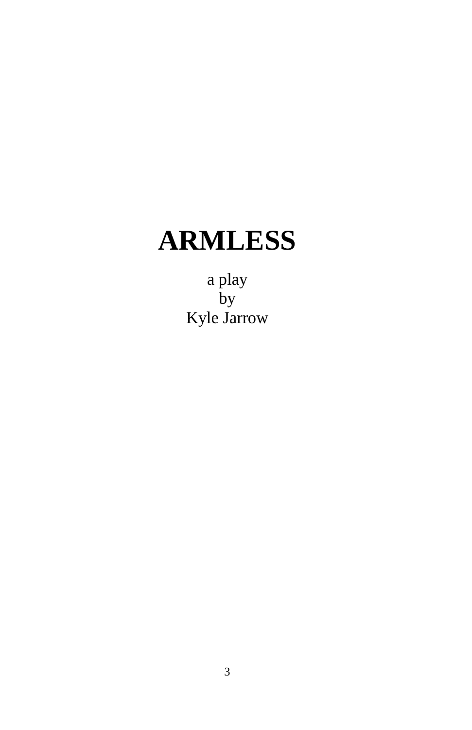# **ARMLESS**

a play by Kyle Jarrow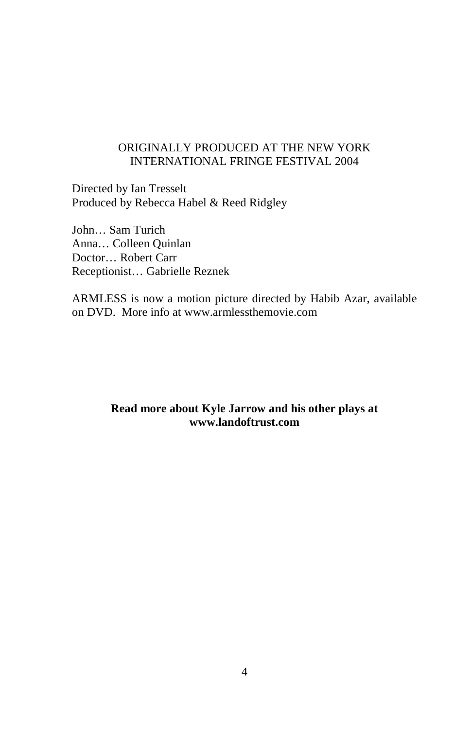## ORIGINALLY PRODUCED AT THE NEW YORK INTERNATIONAL FRINGE FESTIVAL 2004

Directed by Ian Tresselt Produced by Rebecca Habel & Reed Ridgley

John… Sam Turich Anna… Colleen Quinlan Doctor… Robert Carr Receptionist… Gabrielle Reznek

ARMLESS is now a motion picture directed by Habib Azar, available on DVD. More info at www.armlessthemovie.com

## **Read more about Kyle Jarrow and his other plays at www.landoftrust.com**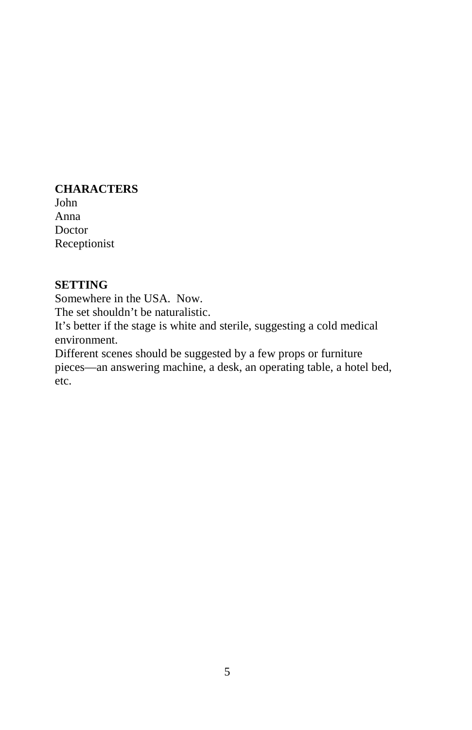#### **CHARACTERS**

John Anna Doctor Receptionist

# **SETTING**

Somewhere in the USA. Now.

The set shouldn't be naturalistic.

It's better if the stage is white and sterile, suggesting a cold medical environment.

Different scenes should be suggested by a few props or furniture pieces—an answering machine, a desk, an operating table, a hotel bed, etc.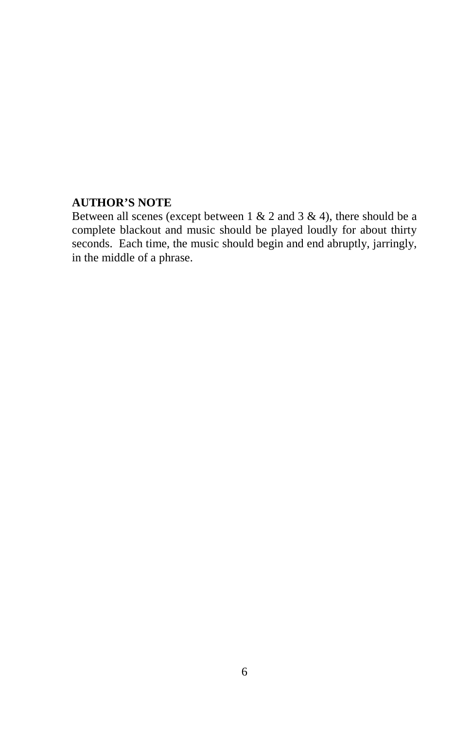## **AUTHOR'S NOTE**

Between all scenes (except between  $1 \& 2$  and  $3 \& 4$ ), there should be a complete blackout and music should be played loudly for about thirty seconds. Each time, the music should begin and end abruptly, jarringly, in the middle of a phrase.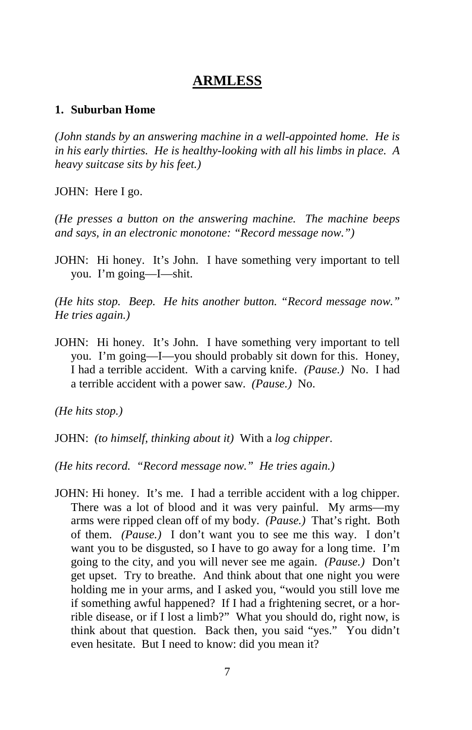# **ARMLESS**

#### **1. Suburban Home**

*(John stands by an answering machine in a well-appointed home. He is in his early thirties. He is healthy-looking with all his limbs in place. A heavy suitcase sits by his feet.)* 

JOHN: Here I go.

*(He presses a button on the answering machine. The machine beeps and says, in an electronic monotone: "Record message now.")* 

JOHN: Hi honey. It's John. I have something very important to tell you. I'm going—I—shit.

*(He hits stop. Beep. He hits another button. "Record message now." He tries again.)* 

JOHN: Hi honey. It's John. I have something very important to tell you. I'm going—I—you should probably sit down for this. Honey, I had a terrible accident. With a carving knife. *(Pause.)* No. I had a terrible accident with a power saw. *(Pause.)* No.

*(He hits stop.)* 

JOHN: *(to himself, thinking about it)* With a *log chipper*.

*(He hits record. "Record message now." He tries again.)* 

JOHN: Hi honey. It's me. I had a terrible accident with a log chipper. There was a lot of blood and it was very painful. My arms—my arms were ripped clean off of my body. *(Pause.)* That's right. Both of them. *(Pause.)* I don't want you to see me this way. I don't want you to be disgusted, so I have to go away for a long time. I'm going to the city, and you will never see me again. *(Pause.)* Don't get upset. Try to breathe. And think about that one night you were holding me in your arms, and I asked you, "would you still love me if something awful happened? If I had a frightening secret, or a horrible disease, or if I lost a limb?" What you should do, right now, is think about that question. Back then, you said "yes." You didn't even hesitate. But I need to know: did you mean it?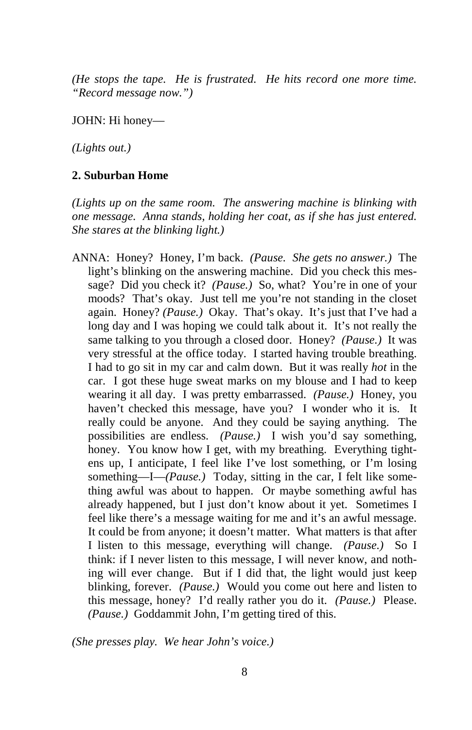*(He stops the tape. He is frustrated. He hits record one more time. "Record message now.")* 

JOHN: Hi honey—

*(Lights out.)* 

#### **2. Suburban Home**

*(Lights up on the same room. The answering machine is blinking with one message. Anna stands, holding her coat, as if she has just entered. She stares at the blinking light.)* 

ANNA: Honey? Honey, I'm back. *(Pause. She gets no answer.)* The light's blinking on the answering machine. Did you check this message? Did you check it? *(Pause.)* So, what? You're in one of your moods? That's okay. Just tell me you're not standing in the closet again. Honey? *(Pause.)* Okay. That's okay. It's just that I've had a long day and I was hoping we could talk about it. It's not really the same talking to you through a closed door. Honey? *(Pause.)* It was very stressful at the office today. I started having trouble breathing. I had to go sit in my car and calm down. But it was really *hot* in the car. I got these huge sweat marks on my blouse and I had to keep wearing it all day. I was pretty embarrassed. *(Pause.)* Honey, you haven't checked this message, have you? I wonder who it is. It really could be anyone. And they could be saying anything. The possibilities are endless. *(Pause.)* I wish you'd say something, honey. You know how I get, with my breathing. Everything tightens up, I anticipate, I feel like I've lost something, or I'm losing something—I—*(Pause.)* Today, sitting in the car, I felt like something awful was about to happen. Or maybe something awful has already happened, but I just don't know about it yet. Sometimes I feel like there's a message waiting for me and it's an awful message. It could be from anyone; it doesn't matter. What matters is that after I listen to this message, everything will change. *(Pause.)* So I think: if I never listen to this message, I will never know, and nothing will ever change. But if I did that, the light would just keep blinking, forever. *(Pause.)* Would you come out here and listen to this message, honey? I'd really rather you do it. *(Pause.)* Please. *(Pause.)* Goddammit John, I'm getting tired of this.

*(She presses play. We hear John's voice.)*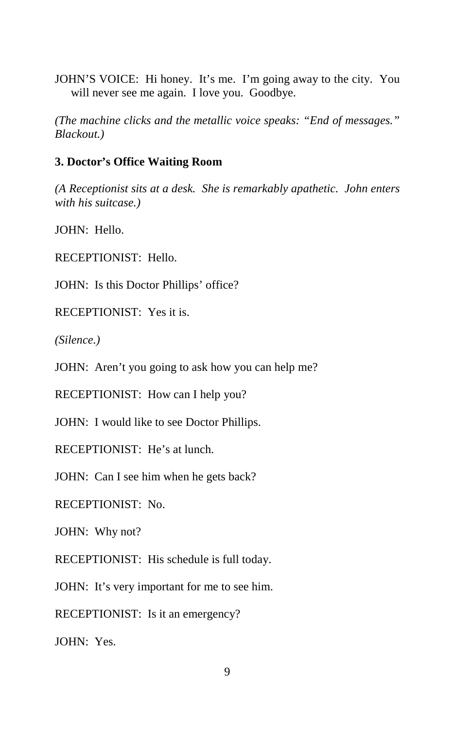JOHN'S VOICE: Hi honey. It's me. I'm going away to the city. You will never see me again. I love you. Goodbye.

*(The machine clicks and the metallic voice speaks: "End of messages." Blackout.)* 

#### **3. Doctor's Office Waiting Room**

*(A Receptionist sits at a desk. She is remarkably apathetic. John enters with his suitcase.)* 

JOHN: Hello.

RECEPTIONIST: Hello.

JOHN: Is this Doctor Phillips' office?

RECEPTIONIST: Yes it is.

*(Silence.)* 

JOHN: Aren't you going to ask how you can help me?

RECEPTIONIST: How can I help you?

JOHN: I would like to see Doctor Phillips.

RECEPTIONIST: He's at lunch.

JOHN: Can I see him when he gets back?

RECEPTIONIST: No.

JOHN: Why not?

RECEPTIONIST: His schedule is full today.

JOHN: It's very important for me to see him.

RECEPTIONIST: Is it an emergency?

JOHN: Yes.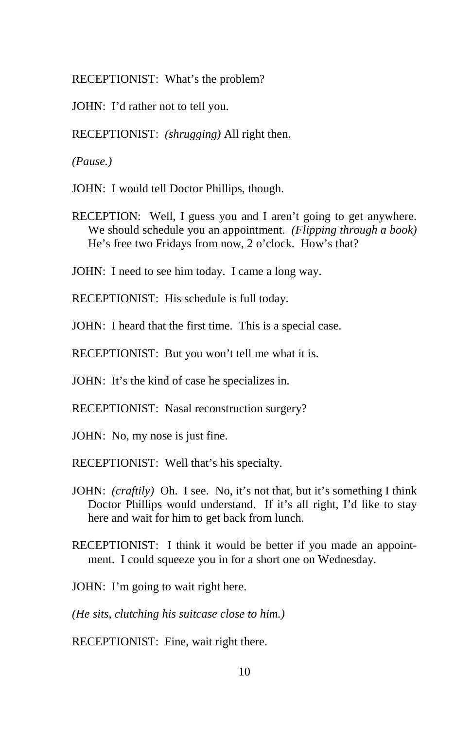RECEPTIONIST: What's the problem?

JOHN: I'd rather not to tell you.

RECEPTIONIST: *(shrugging)* All right then.

*(Pause.)* 

JOHN: I would tell Doctor Phillips, though.

RECEPTION: Well, I guess you and I aren't going to get anywhere. We should schedule you an appointment. *(Flipping through a book)*  He's free two Fridays from now, 2 o'clock. How's that?

JOHN: I need to see him today. I came a long way.

RECEPTIONIST: His schedule is full today.

JOHN: I heard that the first time. This is a special case.

RECEPTIONIST: But you won't tell me what it is.

JOHN: It's the kind of case he specializes in.

RECEPTIONIST: Nasal reconstruction surgery?

JOHN: No, my nose is just fine.

RECEPTIONIST: Well that's his specialty.

- JOHN: *(craftily)* Oh. I see. No, it's not that, but it's something I think Doctor Phillips would understand. If it's all right, I'd like to stay here and wait for him to get back from lunch.
- RECEPTIONIST: I think it would be better if you made an appointment. I could squeeze you in for a short one on Wednesday.

JOHN: I'm going to wait right here.

*(He sits, clutching his suitcase close to him.)* 

RECEPTIONIST: Fine, wait right there.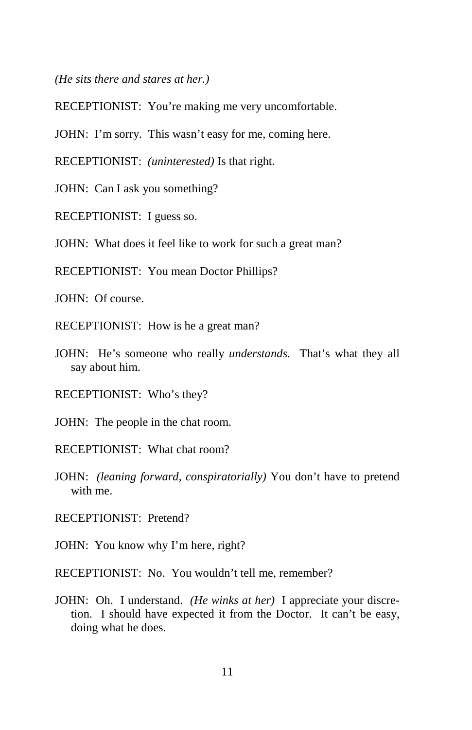*(He sits there and stares at her.)* 

RECEPTIONIST: You're making me very uncomfortable.

JOHN: I'm sorry. This wasn't easy for me, coming here.

RECEPTIONIST: *(uninterested)* Is that right.

JOHN: Can I ask you something?

RECEPTIONIST: I guess so.

JOHN: What does it feel like to work for such a great man?

RECEPTIONIST: You mean Doctor Phillips?

JOHN: Of course.

RECEPTIONIST: How is he a great man?

JOHN: He's someone who really *understands.* That's what they all say about him.

RECEPTIONIST: Who's they?

JOHN: The people in the chat room.

RECEPTIONIST: What chat room?

JOHN: *(leaning forward, conspiratorially)* You don't have to pretend with me.

RECEPTIONIST: Pretend?

JOHN: You know why I'm here, right?

RECEPTIONIST: No. You wouldn't tell me, remember?

JOHN: Oh. I understand. *(He winks at her)* I appreciate your discretion. I should have expected it from the Doctor. It can't be easy, doing what he does.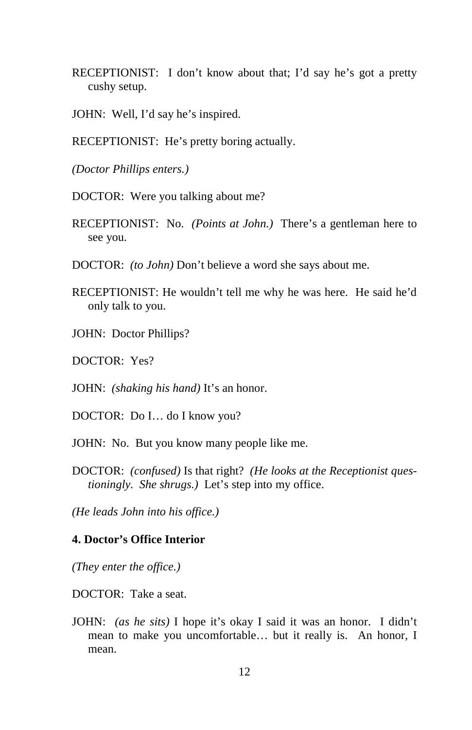- RECEPTIONIST: I don't know about that; I'd say he's got a pretty cushy setup.
- JOHN: Well, I'd say he's inspired.
- RECEPTIONIST: He's pretty boring actually.

*(Doctor Phillips enters.)* 

DOCTOR: Were you talking about me?

- RECEPTIONIST: No. *(Points at John.)* There's a gentleman here to see you.
- DOCTOR: *(to John)* Don't believe a word she says about me.
- RECEPTIONIST: He wouldn't tell me why he was here. He said he'd only talk to you.
- JOHN: Doctor Phillips?
- DOCTOR: Yes?

JOHN: *(shaking his hand)* It's an honor.

DOCTOR: Do I… do I know you?

JOHN: No. But you know many people like me.

DOCTOR: *(confused)* Is that right? *(He looks at the Receptionist questioningly. She shrugs.)* Let's step into my office.

*(He leads John into his office.)* 

#### **4. Doctor's Office Interior**

*(They enter the office.)* 

DOCTOR: Take a seat.

JOHN: *(as he sits)* I hope it's okay I said it was an honor. I didn't mean to make you uncomfortable… but it really is. An honor, I mean.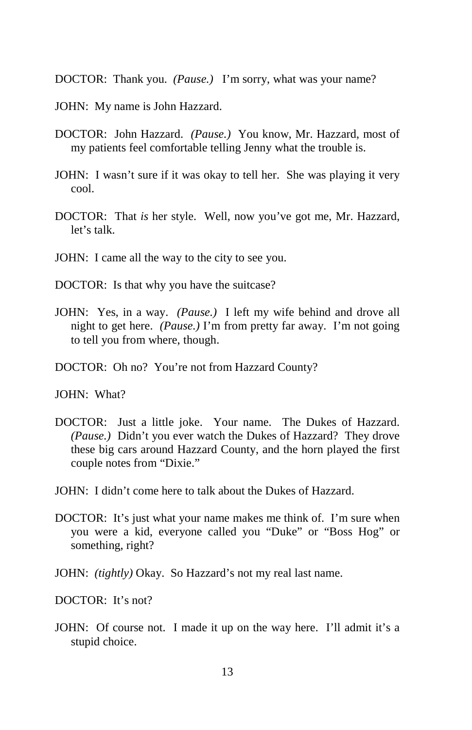DOCTOR: Thank you. *(Pause.)* I'm sorry, what was your name?

- JOHN: My name is John Hazzard.
- DOCTOR: John Hazzard. *(Pause.)* You know, Mr. Hazzard, most of my patients feel comfortable telling Jenny what the trouble is.
- JOHN: I wasn't sure if it was okay to tell her. She was playing it very cool.
- DOCTOR: That *is* her style. Well, now you've got me, Mr. Hazzard, let's talk.
- JOHN: I came all the way to the city to see you.
- DOCTOR: Is that why you have the suitcase?
- JOHN: Yes, in a way. *(Pause.)* I left my wife behind and drove all night to get here. *(Pause.)* I'm from pretty far away. I'm not going to tell you from where, though.
- DOCTOR: Oh no? You're not from Hazzard County?

JOHN: What?

- DOCTOR: Just a little joke. Your name. The Dukes of Hazzard. *(Pause.)* Didn't you ever watch the Dukes of Hazzard? They drove these big cars around Hazzard County, and the horn played the first couple notes from "Dixie."
- JOHN: I didn't come here to talk about the Dukes of Hazzard.
- DOCTOR: It's just what your name makes me think of. I'm sure when you were a kid, everyone called you "Duke" or "Boss Hog" or something, right?
- JOHN: *(tightly)* Okay. So Hazzard's not my real last name.

DOCTOR: It's not?

JOHN: Of course not. I made it up on the way here. I'll admit it's a stupid choice.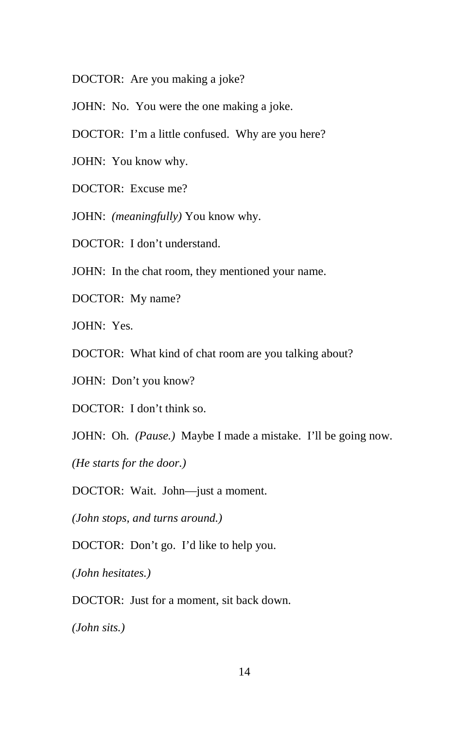DOCTOR: Are you making a joke?

JOHN: No. You were the one making a joke.

DOCTOR: I'm a little confused. Why are you here?

JOHN: You know why.

DOCTOR: Excuse me?

JOHN: *(meaningfully)* You know why.

DOCTOR: I don't understand.

JOHN: In the chat room, they mentioned your name.

DOCTOR: My name?

JOHN: Yes.

DOCTOR: What kind of chat room are you talking about?

JOHN: Don't you know?

DOCTOR: I don't think so.

JOHN: Oh. *(Pause.)* Maybe I made a mistake. I'll be going now.

*(He starts for the door.)* 

DOCTOR: Wait. John—just a moment.

*(John stops, and turns around.)* 

DOCTOR: Don't go. I'd like to help you.

*(John hesitates.)* 

DOCTOR: Just for a moment, sit back down.

*(John sits.)*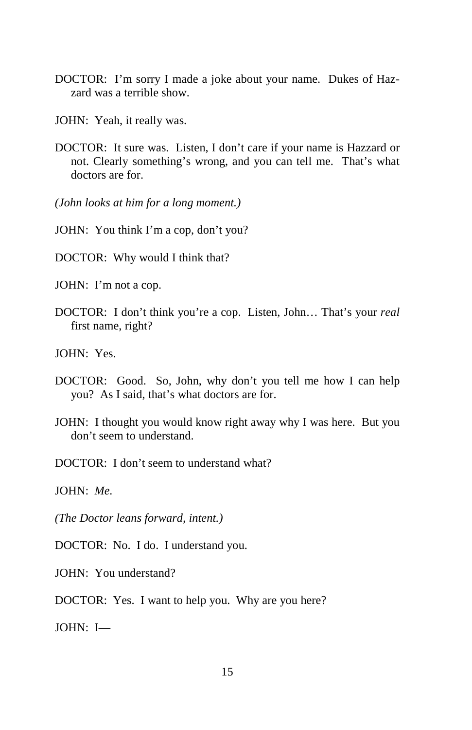- DOCTOR: I'm sorry I made a joke about your name. Dukes of Hazzard was a terrible show.
- JOHN: Yeah, it really was.
- DOCTOR: It sure was. Listen, I don't care if your name is Hazzard or not. Clearly something's wrong, and you can tell me. That's what doctors are for.

*(John looks at him for a long moment.)* 

JOHN: You think I'm a cop, don't you?

DOCTOR: Why would I think that?

JOHN: I'm not a cop.

DOCTOR: I don't think you're a cop. Listen, John… That's your *real* first name, right?

JOHN: Yes.

- DOCTOR: Good. So, John, why don't you tell me how I can help you? As I said, that's what doctors are for.
- JOHN: I thought you would know right away why I was here. But you don't seem to understand.
- DOCTOR: I don't seem to understand what?

JOHN: *Me.*

*(The Doctor leans forward, intent.)* 

DOCTOR: No. I do. I understand you.

JOHN: You understand?

DOCTOR: Yes. I want to help you. Why are you here?

JOHN: I—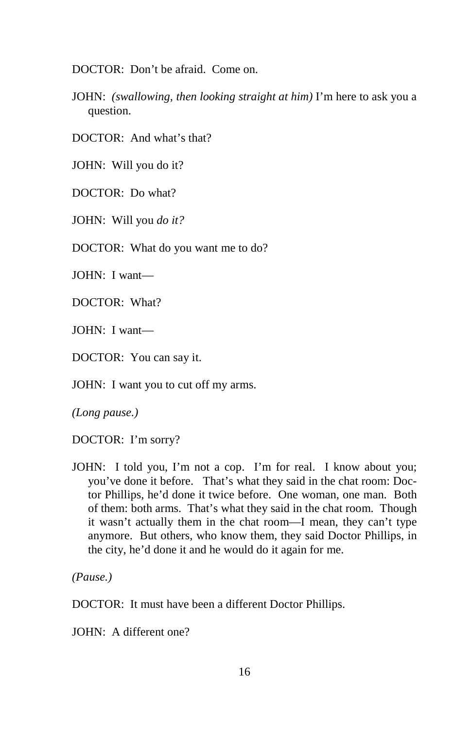DOCTOR: Don't be afraid. Come on.

JOHN: *(swallowing, then looking straight at him)* I'm here to ask you a question.

DOCTOR: And what's that?

JOHN: Will you do it?

DOCTOR: Do what?

JOHN: Will you *do it?*

DOCTOR: What do you want me to do?

JOHN: I want—

DOCTOR: What?

JOHN: I want—

DOCTOR: You can say it.

JOHN: I want you to cut off my arms.

*(Long pause.)* 

DOCTOR: I'm sorry?

JOHN: I told you, I'm not a cop. I'm for real. I know about you; you've done it before. That's what they said in the chat room: Doctor Phillips, he'd done it twice before. One woman, one man. Both of them: both arms. That's what they said in the chat room. Though it wasn't actually them in the chat room—I mean, they can't type anymore. But others, who know them, they said Doctor Phillips, in the city, he'd done it and he would do it again for me.

*(Pause.)* 

DOCTOR: It must have been a different Doctor Phillips.

JOHN: A different one?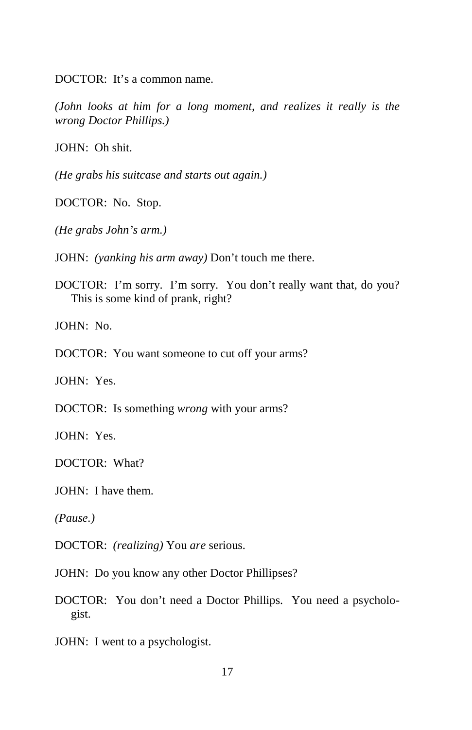DOCTOR: It's a common name.

*(John looks at him for a long moment, and realizes it really is the wrong Doctor Phillips.)* 

JOHN: Oh shit.

*(He grabs his suitcase and starts out again.)* 

DOCTOR: No. Stop.

*(He grabs John's arm.)* 

JOHN: *(yanking his arm away)* Don't touch me there.

DOCTOR: I'm sorry. I'm sorry. You don't really want that, do you? This is some kind of prank, right?

JOHN:No.

DOCTOR: You want someone to cut off your arms?

JOHN: Yes.

DOCTOR: Is something *wrong* with your arms?

JOHN: Yes.

DOCTOR: What?

JOHN: I have them.

*(Pause.)* 

DOCTOR: *(realizing)* You *are* serious.

JOHN: Do you know any other Doctor Phillipses?

DOCTOR: You don't need a Doctor Phillips. You need a psychologist.

JOHN: I went to a psychologist.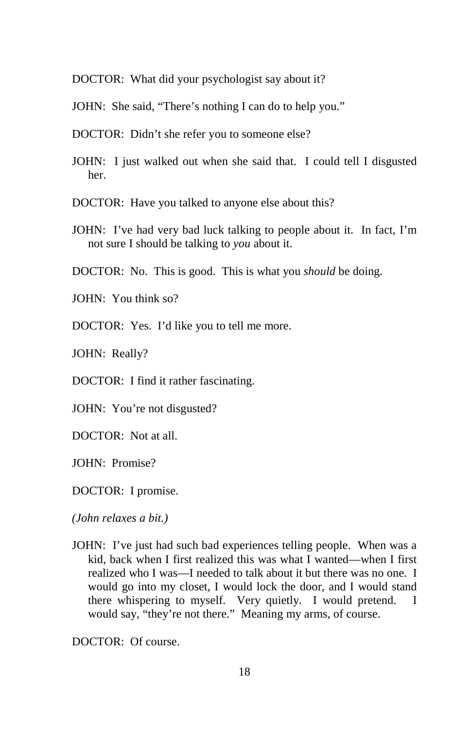DOCTOR: What did your psychologist say about it?

JOHN: She said, "There's nothing I can do to help you."

- DOCTOR: Didn't she refer you to someone else?
- JOHN: I just walked out when she said that. I could tell I disgusted her.

DOCTOR: Have you talked to anyone else about this?

JOHN: I've had very bad luck talking to people about it. In fact, I'm not sure I should be talking to *you* about it.

DOCTOR: No. This is good. This is what you *should* be doing.

JOHN: You think so?

DOCTOR: Yes. I'd like you to tell me more.

JOHN: Really?

DOCTOR: I find it rather fascinating.

JOHN: You're not disgusted?

DOCTOR: Not at all.

JOHN: Promise?

DOCTOR: I promise.

*(John relaxes a bit.)* 

JOHN: I've just had such bad experiences telling people. When was a kid, back when I first realized this was what I wanted—when I first realized who I was—I needed to talk about it but there was no one. I would go into my closet, I would lock the door, and I would stand there whispering to myself. Very quietly. I would pretend. I would say, "they're not there." Meaning my arms, of course.

DOCTOR: Of course.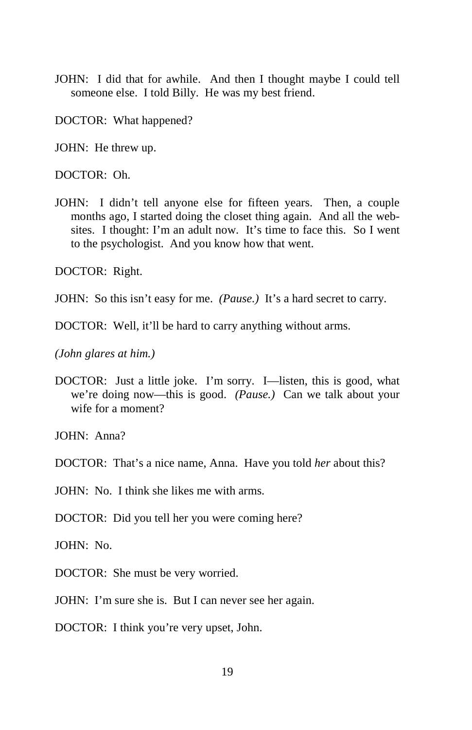JOHN: I did that for awhile. And then I thought maybe I could tell someone else. I told Billy. He was my best friend.

DOCTOR: What happened?

JOHN: He threw up.

DOCTOR: Oh.

JOHN: I didn't tell anyone else for fifteen years. Then, a couple months ago, I started doing the closet thing again. And all the websites. I thought: I'm an adult now. It's time to face this. So I went to the psychologist. And you know how that went.

DOCTOR: Right.

JOHN: So this isn't easy for me. *(Pause.)* It's a hard secret to carry.

DOCTOR: Well, it'll be hard to carry anything without arms.

*(John glares at him.)* 

DOCTOR: Just a little joke. I'm sorry. I—listen, this is good, what we're doing now—this is good. *(Pause.)* Can we talk about your wife for a moment?

JOHN: Anna?

DOCTOR: That's a nice name, Anna. Have you told *her* about this?

JOHN: No. I think she likes me with arms.

DOCTOR: Did you tell her you were coming here?

JOHN: No.

DOCTOR: She must be very worried.

JOHN: I'm sure she is. But I can never see her again.

DOCTOR: I think you're very upset, John.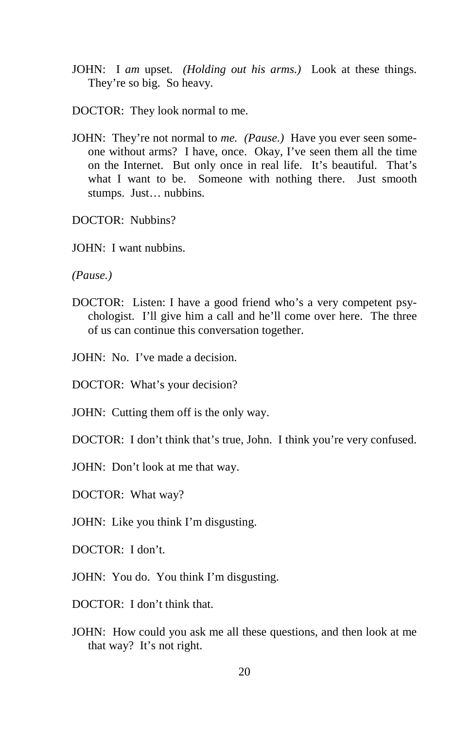- JOHN: I *am* upset. *(Holding out his arms.)* Look at these things. They're so big. So heavy.
- DOCTOR: They look normal to me.
- JOHN: They're not normal to *me. (Pause.)* Have you ever seen someone without arms? I have, once. Okay, I've seen them all the time on the Internet. But only once in real life. It's beautiful. That's what I want to be. Someone with nothing there. Just smooth stumps. Just… nubbins.

DOCTOR: Nubbins?

JOHN: I want nubbins.

*(Pause.)* 

DOCTOR: Listen: I have a good friend who's a very competent psychologist. I'll give him a call and he'll come over here. The three of us can continue this conversation together.

JOHN: No. I've made a decision.

DOCTOR: What's your decision?

JOHN: Cutting them off is the only way.

DOCTOR: I don't think that's true, John. I think you're very confused.

JOHN: Don't look at me that way.

DOCTOR: What way?

JOHN: Like you think I'm disgusting.

DOCTOR: I don't.

JOHN: You do. You think I'm disgusting.

- DOCTOR: I don't think that.
- JOHN: How could you ask me all these questions, and then look at me that way? It's not right.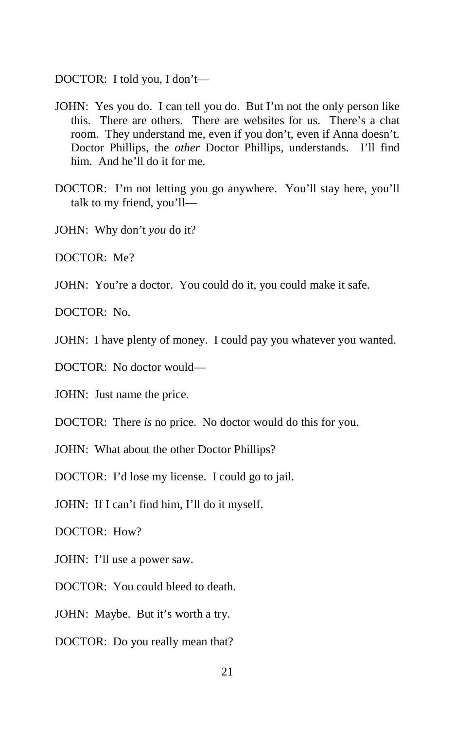DOCTOR: I told you, I don't—

- JOHN: Yes you do. I can tell you do. But I'm not the only person like this. There are others. There are websites for us. There's a chat room. They understand me, even if you don't, even if Anna doesn't. Doctor Phillips, the *other* Doctor Phillips, understands. I'll find him. And he'll do it for me.
- DOCTOR: I'm not letting you go anywhere. You'll stay here, you'll talk to my friend, you'll—
- JOHN: Why don't *you* do it?

DOCTOR: Me?

JOHN: You're a doctor. You could do it, you could make it safe.

DOCTOR: No.

JOHN: I have plenty of money. I could pay you whatever you wanted.

DOCTOR: No doctor would—

JOHN: Just name the price.

DOCTOR: There *is* no price. No doctor would do this for you.

JOHN: What about the other Doctor Phillips?

DOCTOR: I'd lose my license. I could go to jail.

JOHN: If I can't find him, I'll do it myself.

DOCTOR: How?

JOHN: I'll use a power saw.

DOCTOR: You could bleed to death.

JOHN: Maybe. But it's worth a try.

DOCTOR: Do you really mean that?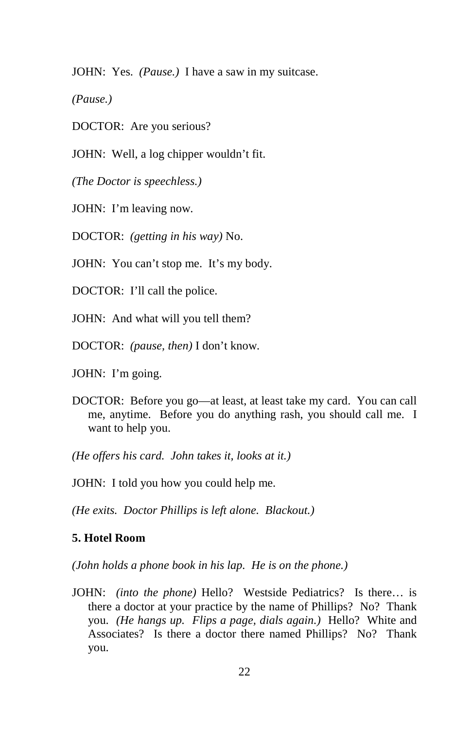JOHN: Yes. *(Pause.)* I have a saw in my suitcase.

*(Pause.)* 

DOCTOR: Are you serious?

JOHN: Well, a log chipper wouldn't fit.

*(The Doctor is speechless.)* 

JOHN: I'm leaving now.

DOCTOR: *(getting in his way)* No.

JOHN: You can't stop me. It's my body.

DOCTOR: I'll call the police.

JOHN: And what will you tell them?

DOCTOR: *(pause, then)* I don't know.

JOHN: I'm going.

DOCTOR: Before you go—at least, at least take my card. You can call me, anytime. Before you do anything rash, you should call me. I want to help you.

*(He offers his card. John takes it, looks at it.)* 

JOHN: I told you how you could help me.

*(He exits. Doctor Phillips is left alone. Blackout.)*

#### **5. Hotel Room**

*(John holds a phone book in his lap. He is on the phone.)* 

JOHN: *(into the phone)* Hello? Westside Pediatrics? Is there… is there a doctor at your practice by the name of Phillips? No? Thank you. *(He hangs up. Flips a page, dials again.)* Hello? White and Associates? Is there a doctor there named Phillips? No? Thank you.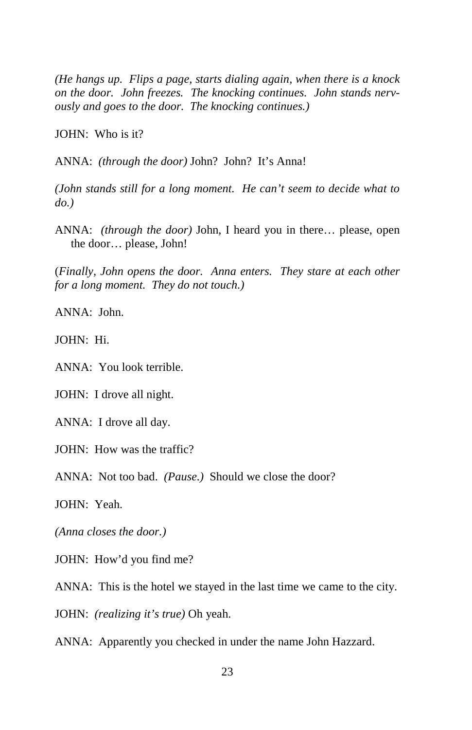*(He hangs up. Flips a page, starts dialing again, when there is a knock on the door. John freezes. The knocking continues. John stands nervously and goes to the door. The knocking continues.)* 

JOHN: Who is it?

ANNA: *(through the door)* John? John? It's Anna!

*(John stands still for a long moment. He can't seem to decide what to do.)* 

ANNA: *(through the door)* John, I heard you in there… please, open the door… please, John!

(*Finally, John opens the door. Anna enters. They stare at each other for a long moment. They do not touch.)* 

ANNA: John.

JOHN: Hi.

ANNA: You look terrible.

JOHN: I drove all night.

ANNA: I drove all day.

JOHN: How was the traffic?

ANNA: Not too bad. *(Pause.)* Should we close the door?

JOHN: Yeah.

*(Anna closes the door.)*

JOHN: How'd you find me?

ANNA: This is the hotel we stayed in the last time we came to the city.

JOHN: *(realizing it's true)* Oh yeah.

ANNA: Apparently you checked in under the name John Hazzard.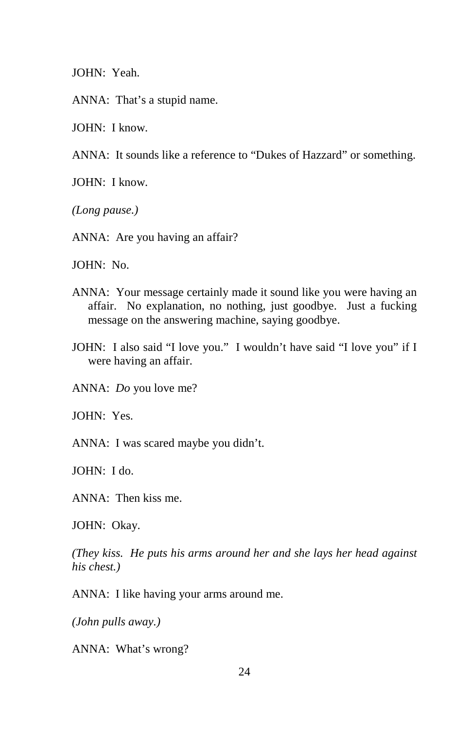JOHN: Yeah.

ANNA: That's a stupid name.

JOHN: I know.

ANNA: It sounds like a reference to "Dukes of Hazzard" or something.

JOHN: I know.

*(Long pause.)* 

ANNA: Are you having an affair?

JOHN: No.

- ANNA: Your message certainly made it sound like you were having an affair. No explanation, no nothing, just goodbye. Just a fucking message on the answering machine, saying goodbye.
- JOHN: I also said "I love you." I wouldn't have said "I love you" if I were having an affair.

ANNA: *Do* you love me?

JOHN: Yes.

ANNA: I was scared maybe you didn't.

JOHN: I do.

ANNA: Then kiss me.

JOHN: Okay.

*(They kiss. He puts his arms around her and she lays her head against his chest.)* 

ANNA: I like having your arms around me.

*(John pulls away.)* 

ANNA: What's wrong?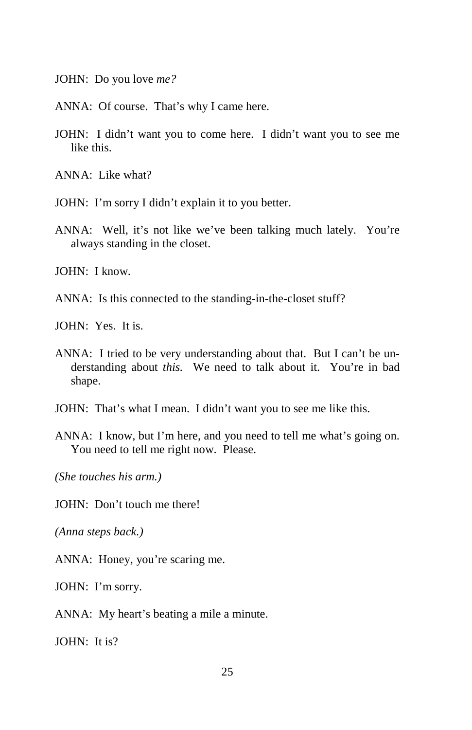JOHN: Do you love *me?*

ANNA: Of course. That's why I came here.

JOHN: I didn't want you to come here. I didn't want you to see me like this.

ANNA: Like what?

- JOHN: I'm sorry I didn't explain it to you better.
- ANNA: Well, it's not like we've been talking much lately. You're always standing in the closet.

JOHN: I know.

ANNA: Is this connected to the standing-in-the-closet stuff?

JOHN: Yes. It is.

- ANNA: I tried to be very understanding about that. But I can't be understanding about *this.* We need to talk about it. You're in bad shape.
- JOHN: That's what I mean. I didn't want you to see me like this.
- ANNA: I know, but I'm here, and you need to tell me what's going on. You need to tell me right now. Please.

*(She touches his arm.)* 

JOHN: Don't touch me there!

*(Anna steps back.)* 

ANNA: Honey, you're scaring me.

JOHN: I'm sorry.

ANNA: My heart's beating a mile a minute.

 $IOHN: It is?$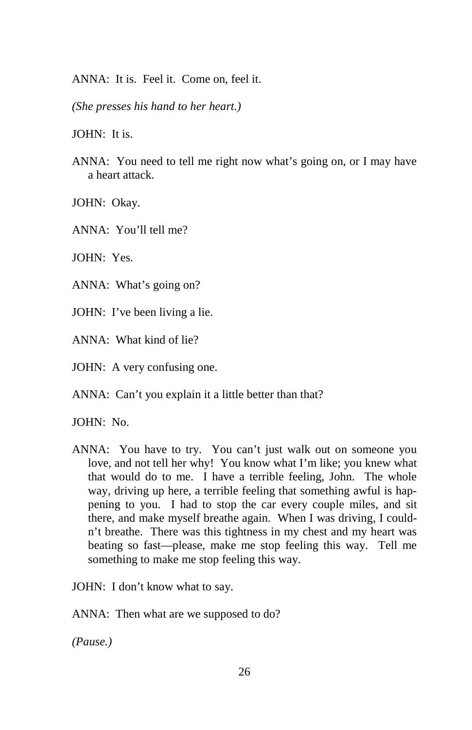ANNA: It is. Feel it. Come on, feel it.

*(She presses his hand to her heart.)* 

JOHN: It is.

ANNA: You need to tell me right now what's going on, or I may have a heart attack.

JOHN: Okay.

ANNA: You'll tell me?

JOHN: Yes.

ANNA: What's going on?

JOHN: I've been living a lie.

ANNA: What kind of lie?

JOHN: A very confusing one.

ANNA: Can't you explain it a little better than that?

JOHN: No.

ANNA: You have to try. You can't just walk out on someone you love, and not tell her why! You know what I'm like; you knew what that would do to me.I have a terrible feeling, John. The whole way, driving up here, a terrible feeling that something awful is happening to you. I had to stop the car every couple miles, and sit there, and make myself breathe again. When I was driving, I couldn't breathe. There was this tightness in my chest and my heart was beating so fast—please, make me stop feeling this way. Tell me something to make me stop feeling this way.

JOHN: I don't know what to say.

ANNA: Then what are we supposed to do?

*(Pause.)*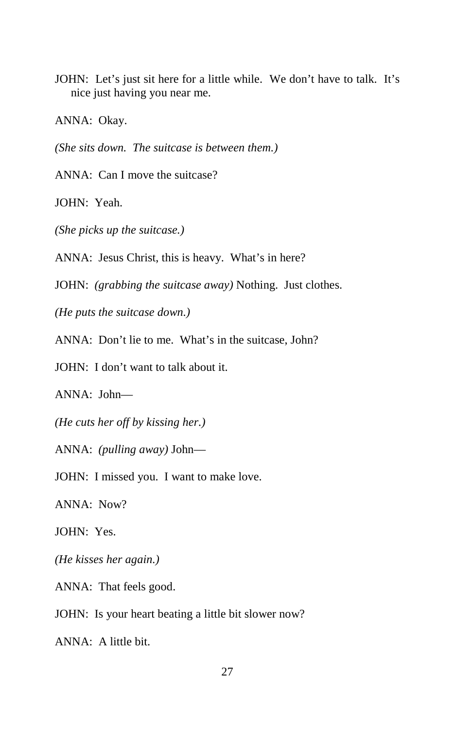JOHN: Let's just sit here for a little while. We don't have to talk. It's nice just having you near me.

ANNA: Okay.

*(She sits down. The suitcase is between them.)* 

ANNA: Can I move the suitcase?

JOHN: Yeah.

*(She picks up the suitcase.)* 

ANNA: Jesus Christ, this is heavy. What's in here?

JOHN: *(grabbing the suitcase away)* Nothing. Just clothes.

*(He puts the suitcase down.)* 

ANNA: Don't lie to me. What's in the suitcase, John?

JOHN: I don't want to talk about it.

ANNA: John—

*(He cuts her off by kissing her.)* 

ANNA: *(pulling away)* John—

JOHN: I missed you. I want to make love.

ANNA: Now?

JOHN: Yes.

*(He kisses her again.)* 

ANNA: That feels good.

JOHN: Is your heart beating a little bit slower now?

ANNA: A little bit.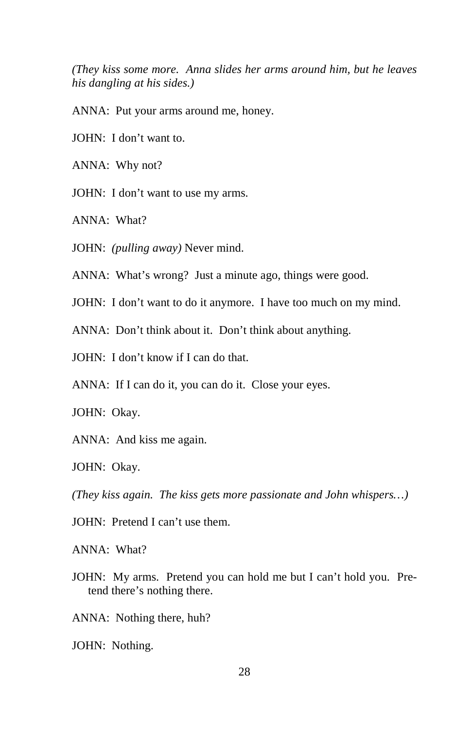*(They kiss some more. Anna slides her arms around him, but he leaves his dangling at his sides.)* 

ANNA:Put your arms around me, honey.

JOHN: I don't want to.

ANNA: Why not?

JOHN: I don't want to use my arms.

ANNA: What?

JOHN: *(pulling away)* Never mind.

ANNA: What's wrong? Just a minute ago, things were good.

JOHN: I don't want to do it anymore. I have too much on my mind.

ANNA: Don't think about it. Don't think about anything.

JOHN: I don't know if I can do that.

ANNA: If I can do it, you can do it. Close your eyes.

JOHN: Okay.

ANNA: And kiss me again.

JOHN: Okay.

*(They kiss again. The kiss gets more passionate and John whispers…)* 

JOHN: Pretend I can't use them.

ANNA: What?

JOHN: My arms. Pretend you can hold me but I can't hold you. Pretend there's nothing there.

ANNA: Nothing there, huh?

JOHN: Nothing.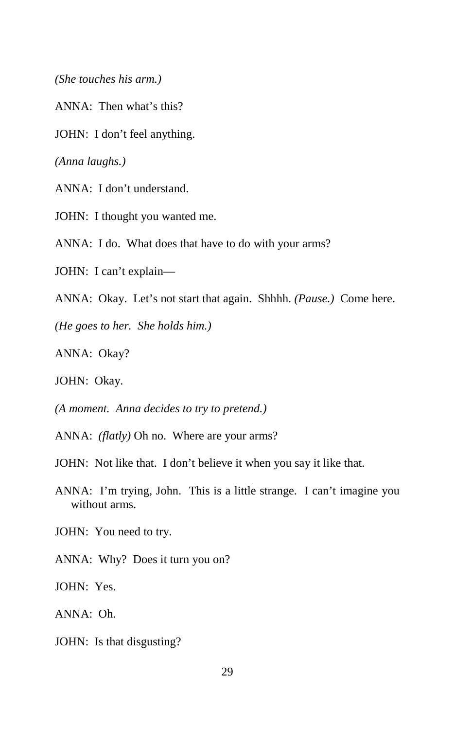*(She touches his arm.)* 

ANNA: Then what's this?

JOHN: I don't feel anything.

*(Anna laughs.)* 

ANNA: I don't understand.

JOHN: I thought you wanted me.

ANNA: I do. What does that have to do with your arms?

JOHN: I can't explain—

ANNA: Okay. Let's not start that again. Shhhh. *(Pause.)* Come here.

*(He goes to her. She holds him.)* 

ANNA: Okay?

JOHN: Okay.

*(A moment. Anna decides to try to pretend.)* 

ANNA: *(flatly)* Oh no. Where are your arms?

JOHN: Not like that. I don't believe it when you say it like that.

ANNA: I'm trying, John. This is a little strange. I can't imagine you without arms.

JOHN: You need to try.

ANNA: Why? Does it turn you on?

JOHN: Yes.

ANNA: Oh.

JOHN: Is that disgusting?